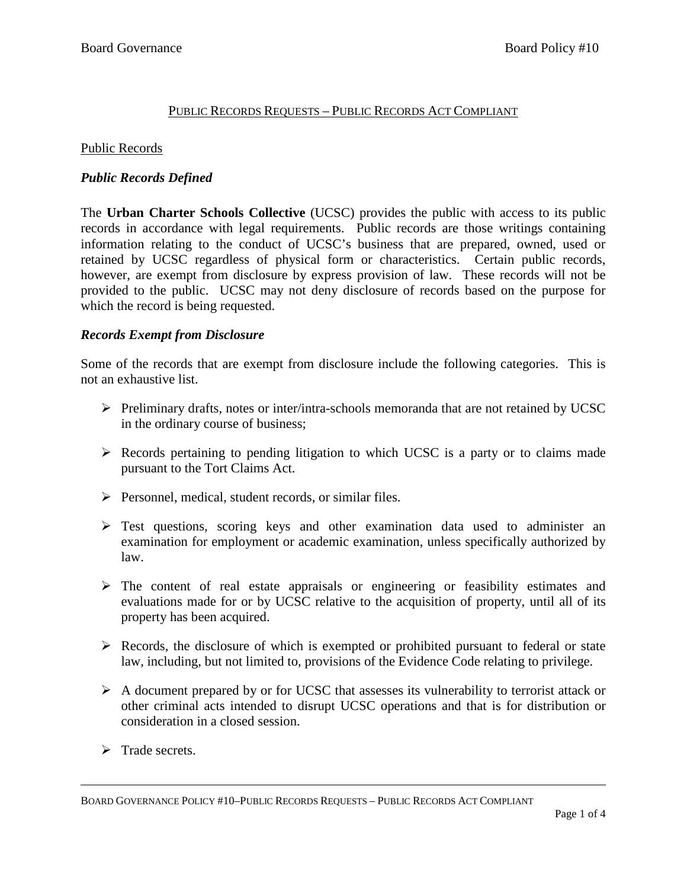# PUBLIC RECORDS REQUESTS – PUBLIC RECORDS ACT COMPLIANT

#### Public Records

## *Public Records Defined*

The **Urban Charter Schools Collective** (UCSC) provides the public with access to its public records in accordance with legal requirements. Public records are those writings containing information relating to the conduct of UCSC's business that are prepared, owned, used or retained by UCSC regardless of physical form or characteristics. Certain public records, however, are exempt from disclosure by express provision of law. These records will not be provided to the public. UCSC may not deny disclosure of records based on the purpose for which the record is being requested.

## *Records Exempt from Disclosure*

Some of the records that are exempt from disclosure include the following categories. This is not an exhaustive list.

- Preliminary drafts, notes or inter/intra-schools memoranda that are not retained by UCSC in the ordinary course of business;
- $\triangleright$  Records pertaining to pending litigation to which UCSC is a party or to claims made pursuant to the Tort Claims Act.
- $\triangleright$  Personnel, medical, student records, or similar files.
- $\triangleright$  Test questions, scoring keys and other examination data used to administer an examination for employment or academic examination, unless specifically authorized by law.
- $\triangleright$  The content of real estate appraisals or engineering or feasibility estimates and evaluations made for or by UCSC relative to the acquisition of property, until all of its property has been acquired.
- $\triangleright$  Records, the disclosure of which is exempted or prohibited pursuant to federal or state law, including, but not limited to, provisions of the Evidence Code relating to privilege.
- $\triangleright$  A document prepared by or for UCSC that assesses its vulnerability to terrorist attack or other criminal acts intended to disrupt UCSC operations and that is for distribution or consideration in a closed session.
- $\triangleright$  Trade secrets.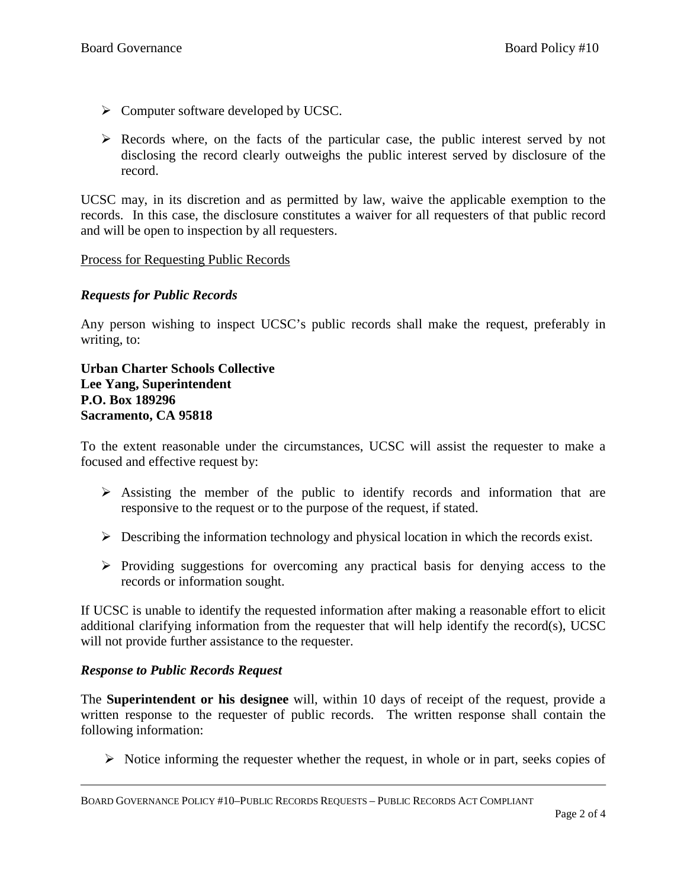- $\triangleright$  Computer software developed by UCSC.
- $\triangleright$  Records where, on the facts of the particular case, the public interest served by not disclosing the record clearly outweighs the public interest served by disclosure of the record.

UCSC may, in its discretion and as permitted by law, waive the applicable exemption to the records. In this case, the disclosure constitutes a waiver for all requesters of that public record and will be open to inspection by all requesters.

#### Process for Requesting Public Records

## *Requests for Public Records*

Any person wishing to inspect UCSC's public records shall make the request, preferably in writing, to:

**Urban Charter Schools Collective Lee Yang, Superintendent P.O. Box 189296 Sacramento, CA 95818**

To the extent reasonable under the circumstances, UCSC will assist the requester to make a focused and effective request by:

- $\triangleright$  Assisting the member of the public to identify records and information that are responsive to the request or to the purpose of the request, if stated.
- $\triangleright$  Describing the information technology and physical location in which the records exist.
- $\triangleright$  Providing suggestions for overcoming any practical basis for denying access to the records or information sought.

If UCSC is unable to identify the requested information after making a reasonable effort to elicit additional clarifying information from the requester that will help identify the record(s), UCSC will not provide further assistance to the requester.

#### *Response to Public Records Request*

The **Superintendent or his designee** will, within 10 days of receipt of the request, provide a written response to the requester of public records. The written response shall contain the following information:

 $\triangleright$  Notice informing the requester whether the request, in whole or in part, seeks copies of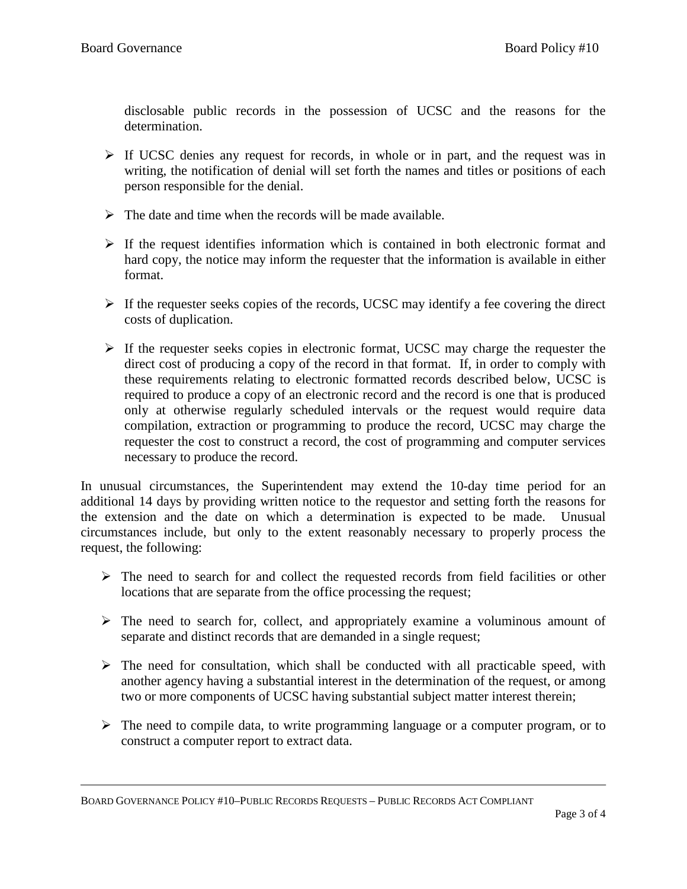disclosable public records in the possession of UCSC and the reasons for the determination.

- $\triangleright$  If UCSC denies any request for records, in whole or in part, and the request was in writing, the notification of denial will set forth the names and titles or positions of each person responsible for the denial.
- $\triangleright$  The date and time when the records will be made available.
- $\triangleright$  If the request identifies information which is contained in both electronic format and hard copy, the notice may inform the requester that the information is available in either format.
- $\triangleright$  If the requester seeks copies of the records, UCSC may identify a fee covering the direct costs of duplication.
- $\triangleright$  If the requester seeks copies in electronic format, UCSC may charge the requester the direct cost of producing a copy of the record in that format. If, in order to comply with these requirements relating to electronic formatted records described below, UCSC is required to produce a copy of an electronic record and the record is one that is produced only at otherwise regularly scheduled intervals or the request would require data compilation, extraction or programming to produce the record, UCSC may charge the requester the cost to construct a record, the cost of programming and computer services necessary to produce the record.

In unusual circumstances, the Superintendent may extend the 10-day time period for an additional 14 days by providing written notice to the requestor and setting forth the reasons for the extension and the date on which a determination is expected to be made. Unusual circumstances include, but only to the extent reasonably necessary to properly process the request, the following:

- $\triangleright$  The need to search for and collect the requested records from field facilities or other locations that are separate from the office processing the request;
- $\triangleright$  The need to search for, collect, and appropriately examine a voluminous amount of separate and distinct records that are demanded in a single request;
- $\triangleright$  The need for consultation, which shall be conducted with all practicable speed, with another agency having a substantial interest in the determination of the request, or among two or more components of UCSC having substantial subject matter interest therein;
- $\triangleright$  The need to compile data, to write programming language or a computer program, or to construct a computer report to extract data.